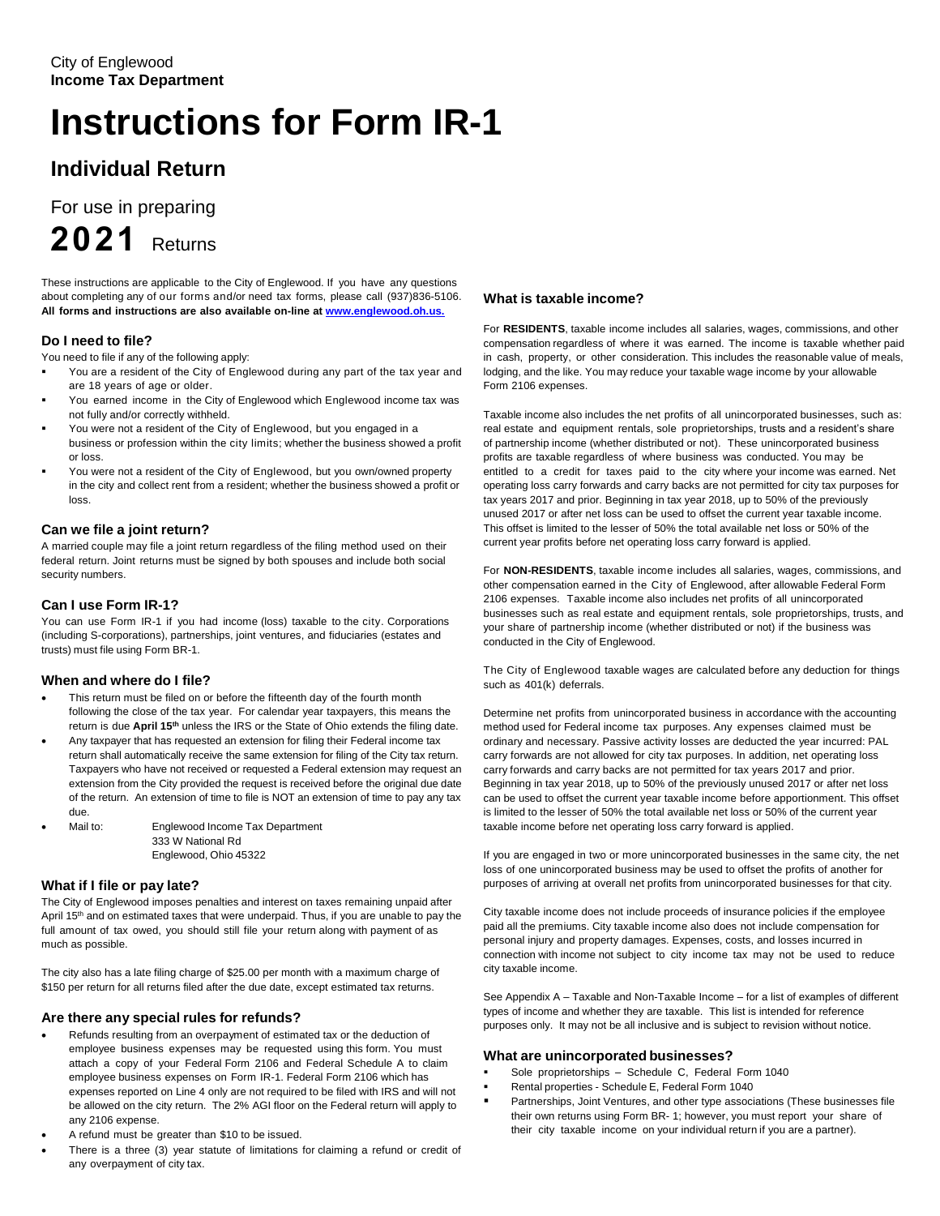# **Instructions for Form IR-1**

## **Individual Return**

For use in preparing

**2021** Returns

These instructions are applicable to the City of Englewood. If you have any questions about completing any of our forms and/or need tax forms, please call (937)836-5106. **All forms and instructions are also available on-line a[t www.englewood.oh.us.](http://www.englewood.oh.us./)**

## **Do I need to file?**

You need to file if any of the following apply:

- You are a resident of the City of Englewood during any part of the tax year and are 18 years of age or older.
- You earned income in the City of Englewood which Englewood income tax was not fully and/or correctly withheld.
- You were not a resident of the City of Englewood, but you engaged in a business or profession within the city limits; whether the business showed a profit or loss.
- You were not a resident of the City of Englewood, but you own/owned property in the city and collect rent from a resident; whether the business showed a profit or loss.

## **Can we file a joint return?**

A married couple may file a joint return regardless of the filing method used on their federal return. Joint returns must be signed by both spouses and include both social security numbers.

## **Can I use Form IR-1?**

You can use Form IR-1 if you had income (loss) taxable to the city. Corporations (including S-corporations), partnerships, joint ventures, and fiduciaries (estates and trusts) must file using Form BR-1.

## **When and where do I file?**

- This return must be filed on or before the fifteenth day of the fourth month following the close of the tax year. For calendar year taxpayers, this means the return is due April 15<sup>th</sup> unless the IRS or the State of Ohio extends the filing date.
- Any taxpayer that has requested an extension for filing their Federal income tax return shall automatically receive the same extension for filing of the City tax return. Taxpayers who have not received or requested a Federal extension may request an extension from the City provided the request is received before the original due date of the return. An extension of time to file is NOT an extension of time to pay any tax due.
- Mail to: Englewood Income Tax Department 333 W National Rd Englewood, Ohio 45322

## **What if I file or pay late?**

The City of Englewood imposes penalties and interest on taxes remaining unpaid after April 15<sup>th</sup> and on estimated taxes that were underpaid. Thus, if you are unable to pay the full amount of tax owed, you should still file your return along with payment of as much as possible.

The city also has a late filing charge of \$25.00 per month with a maximum charge of \$150 per return for all returns filed after the due date, except estimated tax returns.

## **Are there any special rules for refunds?**

- Refunds resulting from an overpayment of estimated tax or the deduction of employee business expenses may be requested using this form. You must attach a copy of your Federal Form 2106 and Federal Schedule A to claim employee business expenses on Form IR-1. Federal Form 2106 which has expenses reported on Line 4 only are not required to be filed with IRS and will not be allowed on the city return. The 2% AGI floor on the Federal return will apply to any 2106 expense.
- A refund must be greater than \$10 to be issued.
- There is a three (3) year statute of limitations for claiming a refund or credit of any overpayment of city tax.

## **What is taxable income?**

For **RESIDENTS**, taxable income includes all salaries, wages, commissions, and other compensation regardless of where it was earned. The income is taxable whether paid in cash, property, or other consideration. This includes the reasonable value of meals, lodging, and the like. You may reduce your taxable wage income by your allowable Form 2106 expenses.

Taxable income also includes the net profits of all unincorporated businesses, such as: real estate and equipment rentals, sole proprietorships, trusts and a resident's share of partnership income (whether distributed or not). These unincorporated business profits are taxable regardless of where business was conducted. You may be entitled to a credit for taxes paid to the city where your income was earned. Net operating loss carry forwards and carry backs are not permitted for city tax purposes for tax years 2017 and prior. Beginning in tax year 2018, up to 50% of the previously unused 2017 or after net loss can be used to offset the current year taxable income. This offset is limited to the lesser of 50% the total available net loss or 50% of the current year profits before net operating loss carry forward is applied.

For **NON-RESIDENTS**, taxable income includes all salaries, wages, commissions, and other compensation earned in the City of Englewood, after allowable Federal Form 2106 expenses. Taxable income also includes net profits of all unincorporated businesses such as real estate and equipment rentals, sole proprietorships, trusts, and your share of partnership income (whether distributed or not) if the business was conducted in the City of Englewood.

The City of Englewood taxable wages are calculated before any deduction for things such as 401(k) deferrals.

Determine net profits from unincorporated business in accordance with the accounting method used for Federal income tax purposes. Any expenses claimed must be ordinary and necessary. Passive activity losses are deducted the year incurred: PAL carry forwards are not allowed for city tax purposes. In addition, net operating loss carry forwards and carry backs are not permitted for tax years 2017 and prior. Beginning in tax year 2018, up to 50% of the previously unused 2017 or after net loss can be used to offset the current year taxable income before apportionment. This offset is limited to the lesser of 50% the total available net loss or 50% of the current year taxable income before net operating loss carry forward is applied.

If you are engaged in two or more unincorporated businesses in the same city, the net loss of one unincorporated business may be used to offset the profits of another for purposes of arriving at overall net profits from unincorporated businesses for that city.

City taxable income does not include proceeds of insurance policies if the employee paid all the premiums. City taxable income also does not include compensation for personal injury and property damages. Expenses, costs, and losses incurred in connection with income not subject to city income tax may not be used to reduce city taxable income.

See Appendix A – Taxable and Non-Taxable Income – for a list of examples of different types of income and whether they are taxable. This list is intended for reference purposes only. It may not be all inclusive and is subject to revision without notice.

#### **What are unincorporated businesses?**

- Sole proprietorships Schedule C, Federal Form 1040
- Rental properties Schedule E, Federal Form 1040
- Partnerships, Joint Ventures, and other type associations (These businesses file their own returns using Form BR- 1; however, you must report your share of their city taxable income on your individual return if you are a partner).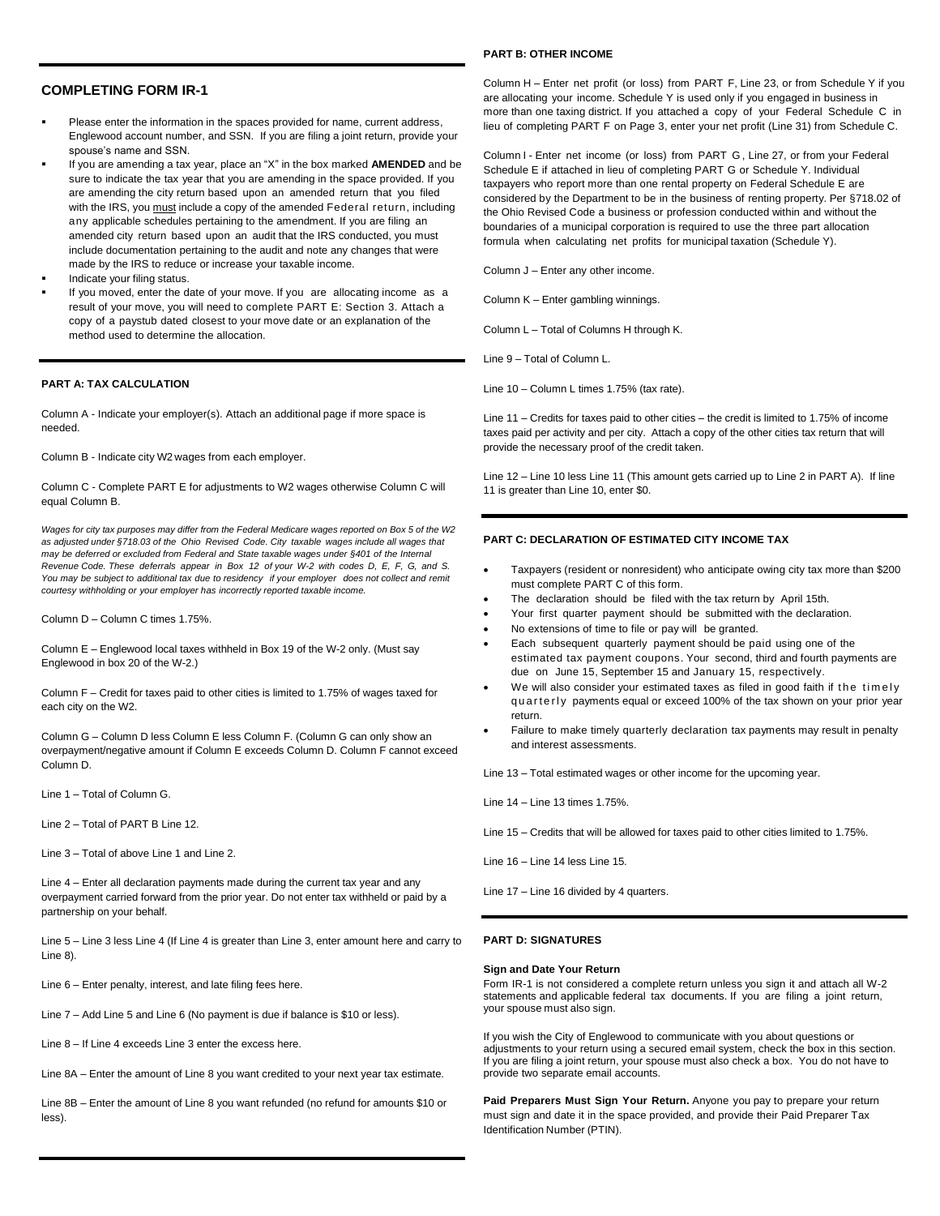#### **COMPLETING FORM IR-1**

- Please enter the information in the spaces provided for name, current address, Englewood account number, and SSN. If you are filing a joint return, provide your spouse's name and SSN.
- If you are amending a tax year, place an "X" in the box marked **AMENDED** and be sure to indicate the tax year that you are amending in the space provided. If you are amending the city return based upon an amended return that you filed with the IRS, you must include a copy of the amended Federal return, including any applicable schedules pertaining to the amendment. If you are filing an amended city return based upon an audit that the IRS conducted, you must include documentation pertaining to the audit and note any changes that were made by the IRS to reduce or increase your taxable income.
- Indicate your filing status.
- If you moved, enter the date of your move. If you are allocating income as a result of your move, you will need to complete PART E: Section 3. Attach a copy of a paystub dated closest to your move date or an explanation of the method used to determine the allocation.

#### **PART A: TAX CALCULATION**

Column A - Indicate your employer(s). Attach an additional page if more space is needed.

Column B - Indicate city W2 wages from each employer.

Column C - Complete PART E for adjustments to W2 wages otherwise Column C will equal Column B.

*Wages for city tax purposes may differ from the Federal Medicare wages reported on Box 5 of the W2 as adjusted under §718.03 of the Ohio Revised Code. City taxable wages include all wages that may be deferred or excluded from Federal and State taxable wages under §401 of the Internal Revenue Code. These deferrals appear in Box 12 of your W-2 with codes D, E, F, G, and S. You may be subject to additional tax due to residency if your employer does not collect and remit courtesy withholding or your employer has incorrectly reported taxable income.* 

Column D – Column C times 1.75%.

Column E – Englewood local taxes withheld in Box 19 of the W-2 only. (Must say Englewood in box 20 of the W-2.)

Column F – Credit for taxes paid to other cities is limited to 1.75% of wages taxed for each city on the W2.

Column G – Column D less Column E less Column F. (Column G can only show an overpayment/negative amount if Column E exceeds Column D. Column F cannot exceed Column D.

Line 1 – Total of Column G.

Line 2 – Total of PART B Line 12.

Line 3 – Total of above Line 1 and Line 2.

Line 4 – Enter all declaration payments made during the current tax year and any overpayment carried forward from the prior year. Do not enter tax withheld or paid by a partnership on your behalf.

Line 5 – Line 3 less Line 4 (If Line 4 is greater than Line 3, enter amount here and carry to Line 8).

Line 6 – Enter penalty, interest, and late filing fees here.

Line 7 – Add Line 5 and Line 6 (No payment is due if balance is \$10 or less).

Line 8 – If Line 4 exceeds Line 3 enter the excess here.

Line 8A – Enter the amount of Line 8 you want credited to your next year tax estimate.

Line 8B – Enter the amount of Line 8 you want refunded (no refund for amounts \$10 or less).

#### **PART B: OTHER INCOME**

Column H – Enter net profit (or loss) from PART F, Line 23, or from Schedule Y if you are allocating your income. Schedule Y is used only if you engaged in business in more than one taxing district. If you attached a copy of your Federal Schedule C in lieu of completing PART F on Page 3, enter your net profit (Line 31) from Schedule C.

Column I - Enter net income (or loss) from PART G , Line 27, or from your Federal Schedule E if attached in lieu of completing PART G or Schedule Y. Individual taxpayers who report more than one rental property on Federal Schedule E are considered by the Department to be in the business of renting property. Per §718.02 of the Ohio Revised Code a business or profession conducted within and without the boundaries of a municipal corporation is required to use the three part allocation formula when calculating net profits for municipal taxation (Schedule Y).

Column J – Enter any other income.

Column K – Enter gambling winnings.

Column L – Total of Columns H through K.

Line 9 – Total of Column L.

Line 10 – Column L times 1.75% (tax rate).

Line 11 – Credits for taxes paid to other cities – the credit is limited to 1.75% of income taxes paid per activity and per city. Attach a copy of the other cities tax return that will provide the necessary proof of the credit taken.

Line 12 – Line 10 less Line 11 (This amount gets carried up to Line 2 in PART A). If line 11 is greater than Line 10, enter \$0.

#### **PART C: DECLARATION OF ESTIMATED CITY INCOME TAX**

- Taxpayers (resident or nonresident) who anticipate owing city tax more than \$200 must complete PART C of this form.
- The declaration should be filed with the tax return by April 15th.
- Your first quarter payment should be submitted with the declaration.
- No extensions of time to file or pay will be granted.
- Each subsequent quarterly payment should be paid using one of the estimated tax payment coupons. Your second, third and fourth payments are due on June 15, September 15 and January 15, respectively.
- We will also consider your estimated taxes as filed in good faith if the timely quarterly payments equal or exceed 100% of the tax shown on your prior year return.
- Failure to make timely quarterly declaration tax payments may result in penalty and interest assessments.

Line 13 – Total estimated wages or other income for the upcoming year.

Line 14 – Line 13 times 1.75%.

Line 15 – Credits that will be allowed for taxes paid to other cities limited to 1.75%.

Line 16 – Line 14 less Line 15.

Line 17 – Line 16 divided by 4 quarters.

#### **PART D: SIGNATURES**

#### **Sign and Date Your Return**

Form IR-1 is not considered a complete return unless you sign it and attach all W-2 statements and applicable federal tax documents. If you are filing a joint return, your spouse must also sign.

If you wish the City of Englewood to communicate with you about questions or adjustments to your return using a secured email system, check the box in this section. If you are filing a joint return, your spouse must also check a box. You do not have to provide two separate email accounts.

**Paid Preparers Must Sign Your Return.** Anyone you pay to prepare your return must sign and date it in the space provided, and provide their Paid Preparer Tax Identification Number (PTIN).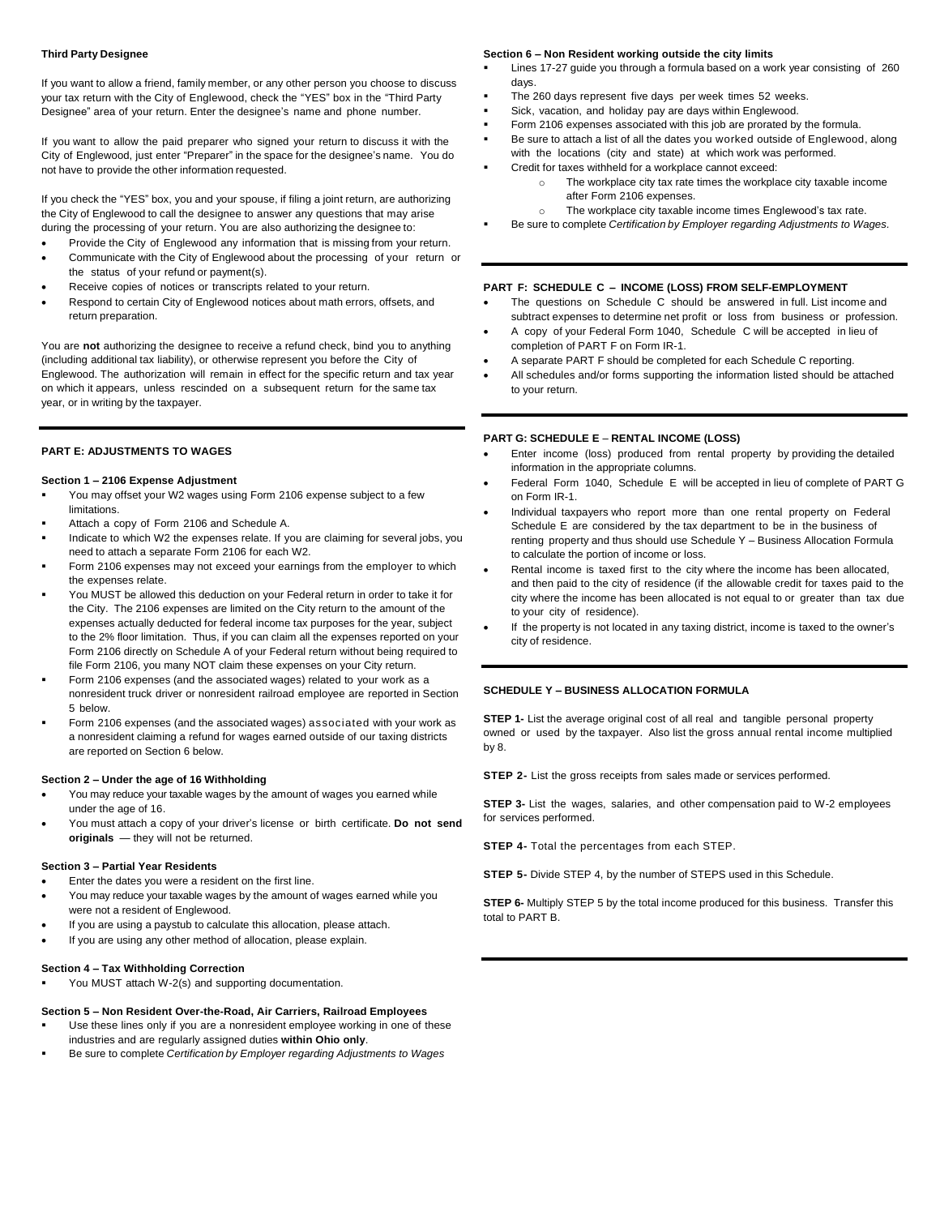#### **Third Party Designee**

If you want to allow a friend, family member, or any other person you choose to discuss your tax return with the City of Englewood, check the "YES" box in the "Third Party Designee" area of your return. Enter the designee's name and phone number.

If you want to allow the paid preparer who signed your return to discuss it with the City of Englewood, just enter "Preparer" in the space for the designee's name. You do not have to provide the other information requested.

If you check the "YES" box, you and your spouse, if filing a joint return, are authorizing the City of Englewood to call the designee to answer any questions that may arise during the processing of your return. You are also authorizing the designee to:

- Provide the City of Englewood any information that is missing from your return. • Communicate with the City of Englewood about the processing of your return or
- the status of your refund or payment(s). Receive copies of notices or transcripts related to your return.
- Respond to certain City of Englewood notices about math errors, offsets, and return preparation.

You are **not** authorizing the designee to receive a refund check, bind you to anything (including additional tax liability), or otherwise represent you before the City of Englewood. The authorization will remain in effect for the specific return and tax year on which it appears, unless rescinded on a subsequent return for the same tax year, or in writing by the taxpayer.

#### **PART E: ADJUSTMENTS TO WAGES**

#### **Section 1 – 2106 Expense Adjustment**

- You may offset your W2 wages using Form 2106 expense subject to a few limitations.
- Attach a copy of Form 2106 and Schedule A.
- Indicate to which W2 the expenses relate. If you are claiming for several jobs, you need to attach a separate Form 2106 for each W2.
- Form 2106 expenses may not exceed your earnings from the employer to which the expenses relate.
- You MUST be allowed this deduction on your Federal return in order to take it for the City. The 2106 expenses are limited on the City return to the amount of the expenses actually deducted for federal income tax purposes for the year, subject to the 2% floor limitation. Thus, if you can claim all the expenses reported on your Form 2106 directly on Schedule A of your Federal return without being required to file Form 2106, you many NOT claim these expenses on your City return.
- Form 2106 expenses (and the associated wages) related to your work as a nonresident truck driver or nonresident railroad employee are reported in Section 5 below.
- Form 2106 expenses (and the associated wages) associated with your work as a nonresident claiming a refund for wages earned outside of our taxing districts are reported on Section 6 below.

#### **Section 2 – Under the age of 16 Withholding**

- You may reduce your taxable wages by the amount of wages you earned while under the age of 16.
- You must attach a copy of your driver's license or birth certificate. **Do not send originals** — they will not be returned.

#### **Section 3 – Partial Year Residents**

- Enter the dates you were a resident on the first line.
- You may reduce your taxable wages by the amount of wages earned while you were not a resident of Englewood.
- If you are using a paystub to calculate this allocation, please attach.
- If you are using any other method of allocation, please explain.

#### **Section 4 – Tax Withholding Correction**

▪ You MUST attach W-2(s) and supporting documentation.

- **Section 5 – Non Resident Over-the-Road, Air Carriers, Railroad Employees**
- Use these lines only if you are a nonresident employee working in one of these industries and are regularly assigned duties **within Ohio only**.
- Be sure to complete *Certification by Employer regarding Adjustments to Wages*

#### **Section 6 – Non Resident working outside the city limits**

- Lines 17-27 guide you through a formula based on a work year consisting of 260 days.
- The 260 days represent five days per week times 52 weeks.
- Sick, vacation, and holiday pay are days within Englewood.
- Form 2106 expenses associated with this job are prorated by the formula.
- Be sure to attach a list of all the dates you worked outside of Englewood, along with the locations (city and state) at which work was performed.
- Credit for taxes withheld for a workplace cannot exceed:
	- The workplace city tax rate times the workplace city taxable income after Form 2106 expenses.
	- o The workplace city taxable income times Englewood's tax rate.
- Be sure to complete *Certification by Employer regarding Adjustments to Wages.*

#### **PART F: SCHEDULE C – INCOME (LOSS) FROM SELF-EMPLOYMENT**

- The questions on Schedule C should be answered in full. List income and subtract expenses to determine net profit or loss from business or profession.
- A copy of your Federal Form 1040, Schedule C will be accepted in lieu of completion of PART F on Form IR-1.
- A separate PART F should be completed for each Schedule C reporting.
- All schedules and/or forms supporting the information listed should be attached to your return.

#### **PART G: SCHEDULE E** – **RENTAL INCOME (LOSS)**

- Enter income (loss) produced from rental property by providing the detailed information in the appropriate columns.
- Federal Form 1040, Schedule E will be accepted in lieu of complete of PART G on Form IR-1.
- Individual taxpayers who report more than one rental property on Federal Schedule E are considered by the tax department to be in the business of renting property and thus should use Schedule Y – Business Allocation Formula to calculate the portion of income or loss.
- Rental income is taxed first to the city where the income has been allocated, and then paid to the city of residence (if the allowable credit for taxes paid to the city where the income has been allocated is not equal to or greater than tax due to your city of residence).
- If the property is not located in any taxing district, income is taxed to the owner's city of residence.

#### **SCHEDULE Y – BUSINESS ALLOCATION FORMULA**

**STEP 1-** List the average original cost of all real and tangible personal property owned or used by the taxpayer. Also list the gross annual rental income multiplied by 8.

**STEP 2-** List the gross receipts from sales made or services performed.

**STEP 3-** List the wages, salaries, and other compensation paid to W-2 employees for services performed.

**STEP 4-** Total the percentages from each STEP.

**STEP 5-** Divide STEP 4, by the number of STEPS used in this Schedule.

**STEP 6-** Multiply STEP 5 by the total income produced for this business. Transfer this total to PART B.